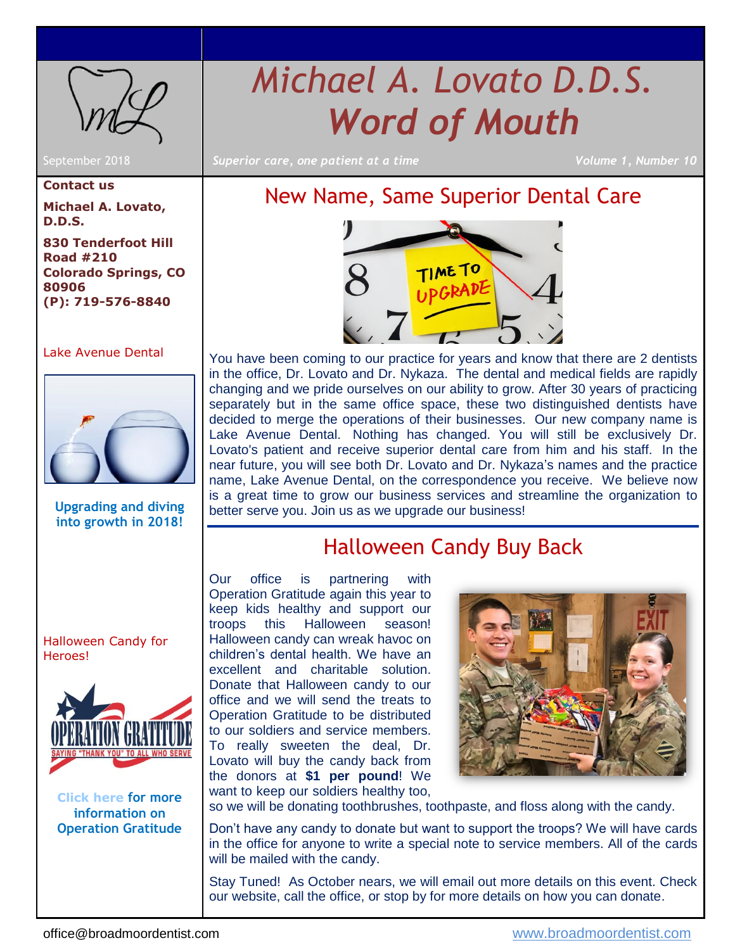<span id="page-0-2"></span>

*Michael A. Lovato D.D.S. Word of Mouth*

September 2018 *Superior care, one patient at a time Volume 1, Number 10*

# <span id="page-0-0"></span>New Name, Same Superior Dental Care



You have been coming to our practice for years and know that there are 2 dentists in the office, Dr. Lovato and Dr. Nykaza. The dental and medical fields are rapidly changing and we pride ourselves on our ability to grow. After 30 years of practicing separately but in the same office space, these two distinguished dentists have decided to merge the operations of their businesses. Our new company name is Lake Avenue Dental. Nothing has changed. You will still be exclusively Dr. Lovato's patient and receive superior dental care from him and his staff. In the near future, you will see both Dr. Lovato and Dr. Nykaza's names and the practice name, Lake Avenue Dental, on the correspondence you receive. We believe now is a great time to grow our business services and streamline the organization to better serve you. Join us as we upgrade our business!

# Halloween Candy Buy Back

<span id="page-0-1"></span>Our office is partnering with Operation Gratitude again this year to keep kids healthy and support our troops this Halloween season! Halloween candy can wreak havoc on children's dental health. We have an excellent and charitable solution. Donate that Halloween candy to our office and we will send the treats to Operation Gratitude to be distributed to our soldiers and service members. To really sweeten the deal, Dr. Lovato will buy the candy back from the donors at **\$1 per pound**! We want to keep our soldiers healthy too,



so we will be donating toothbrushes, toothpaste, and floss along with the candy.

Don't have any candy to donate but want to support the troops? We will have cards in the office for anyone to write a special note to service members. All of the cards will be mailed with the candy.

Stay Tuned! As October nears, we will email out more details on this event. Check our website, call the office, or stop by for more details on how you can donate.

## **Contact us**

**Michael A. Lovato, D.D.S.**

**830 Tenderfoot Hill Road #210 Colorado Springs, CO 80906 (P): 719-576-8840**

### [Lake Avenue Dental](#page-0-0)



**Upgrading and diving into growth in 2018!**

[Halloween Candy for](#page-0-1)  [Heroes!](#page-0-1)



**[Click here](https://opgrat.wordpress.com/2013/07/18/halloween-candy-for-the-troops/) for more information on Operation Gratitude**